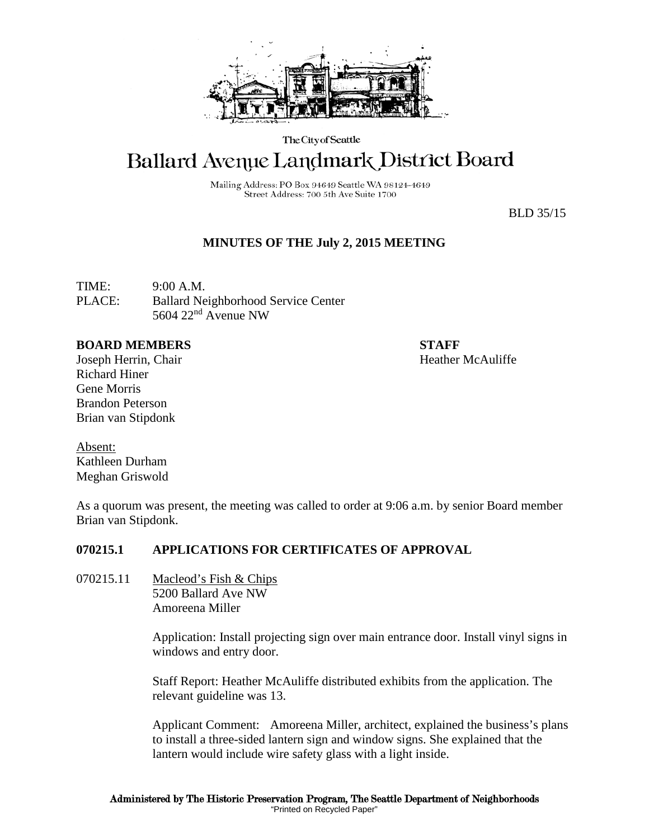

The City of Seattle

# Ballard Avenue Landmark District Board

Mailing Address: PO Box 94649 Seattle WA 98124-4649 Street Address: 700 5th Ave Suite 1700

BLD 35/15

# **MINUTES OF THE July 2, 2015 MEETING**

TIME: 9:00 A.M. PLACE: Ballard Neighborhood Service Center 5604 22nd Avenue NW

#### **BOARD MEMBERS STAFF**

Joseph Herrin, Chair Heather McAuliffe Richard Hiner Gene Morris Brandon Peterson Brian van Stipdonk

Absent: Kathleen Durham Meghan Griswold

As a quorum was present, the meeting was called to order at 9:06 a.m. by senior Board member Brian van Stipdonk.

### **070215.1 APPLICATIONS FOR CERTIFICATES OF APPROVAL**

070215.11 Macleod's Fish & Chips 5200 Ballard Ave NW Amoreena Miller

> Application: Install projecting sign over main entrance door. Install vinyl signs in windows and entry door.

Staff Report: Heather McAuliffe distributed exhibits from the application. The relevant guideline was 13.

Applicant Comment: Amoreena Miller, architect, explained the business's plans to install a three-sided lantern sign and window signs. She explained that the lantern would include wire safety glass with a light inside.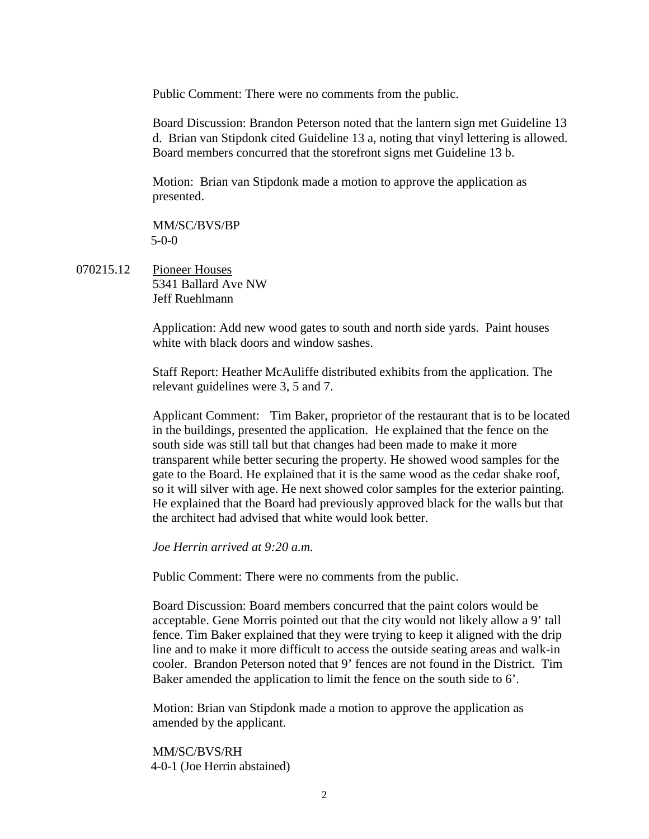Public Comment: There were no comments from the public.

Board Discussion: Brandon Peterson noted that the lantern sign met Guideline 13 d. Brian van Stipdonk cited Guideline 13 a, noting that vinyl lettering is allowed. Board members concurred that the storefront signs met Guideline 13 b.

Motion: Brian van Stipdonk made a motion to approve the application as presented.

MM/SC/BVS/BP 5-0-0

070215.12 Pioneer Houses 5341 Ballard Ave NW Jeff Ruehlmann

> Application: Add new wood gates to south and north side yards. Paint houses white with black doors and window sashes.

> Staff Report: Heather McAuliffe distributed exhibits from the application. The relevant guidelines were 3, 5 and 7.

Applicant Comment: Tim Baker, proprietor of the restaurant that is to be located in the buildings, presented the application. He explained that the fence on the south side was still tall but that changes had been made to make it more transparent while better securing the property. He showed wood samples for the gate to the Board. He explained that it is the same wood as the cedar shake roof, so it will silver with age. He next showed color samples for the exterior painting. He explained that the Board had previously approved black for the walls but that the architect had advised that white would look better.

*Joe Herrin arrived at 9:20 a.m.*

Public Comment: There were no comments from the public.

Board Discussion: Board members concurred that the paint colors would be acceptable. Gene Morris pointed out that the city would not likely allow a 9' tall fence. Tim Baker explained that they were trying to keep it aligned with the drip line and to make it more difficult to access the outside seating areas and walk-in cooler. Brandon Peterson noted that 9' fences are not found in the District. Tim Baker amended the application to limit the fence on the south side to 6'.

Motion: Brian van Stipdonk made a motion to approve the application as amended by the applicant.

MM/SC/BVS/RH 4-0-1 (Joe Herrin abstained)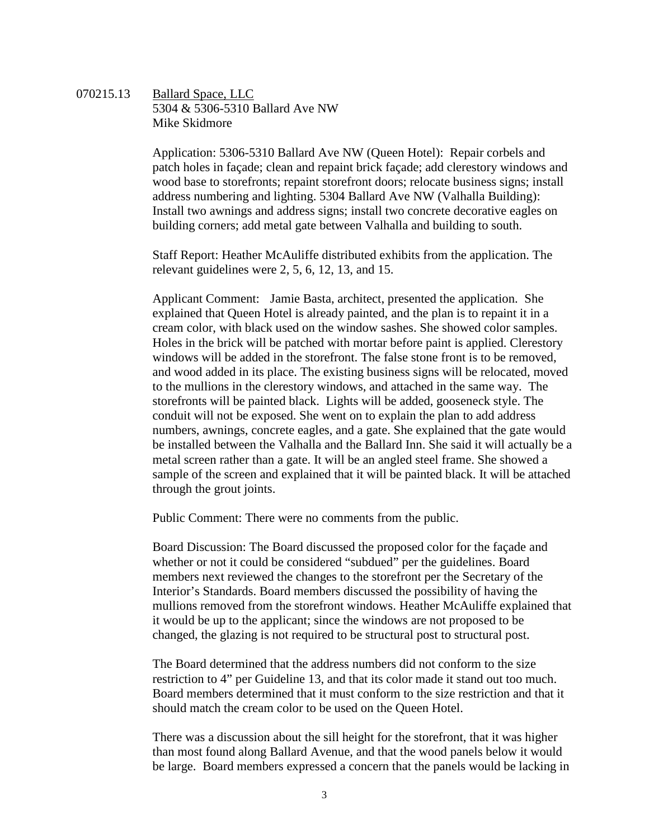#### 070215.13 Ballard Space, LLC 5304 & 5306-5310 Ballard Ave NW Mike Skidmore

Application: 5306-5310 Ballard Ave NW (Queen Hotel): Repair corbels and patch holes in façade; clean and repaint brick façade; add clerestory windows and wood base to storefronts; repaint storefront doors; relocate business signs; install address numbering and lighting. 5304 Ballard Ave NW (Valhalla Building): Install two awnings and address signs; install two concrete decorative eagles on building corners; add metal gate between Valhalla and building to south.

Staff Report: Heather McAuliffe distributed exhibits from the application. The relevant guidelines were 2, 5, 6, 12, 13, and 15.

Applicant Comment: Jamie Basta, architect, presented the application. She explained that Queen Hotel is already painted, and the plan is to repaint it in a cream color, with black used on the window sashes. She showed color samples. Holes in the brick will be patched with mortar before paint is applied. Clerestory windows will be added in the storefront. The false stone front is to be removed, and wood added in its place. The existing business signs will be relocated, moved to the mullions in the clerestory windows, and attached in the same way. The storefronts will be painted black. Lights will be added, gooseneck style. The conduit will not be exposed. She went on to explain the plan to add address numbers, awnings, concrete eagles, and a gate. She explained that the gate would be installed between the Valhalla and the Ballard Inn. She said it will actually be a metal screen rather than a gate. It will be an angled steel frame. She showed a sample of the screen and explained that it will be painted black. It will be attached through the grout joints.

Public Comment: There were no comments from the public.

Board Discussion: The Board discussed the proposed color for the façade and whether or not it could be considered "subdued" per the guidelines. Board members next reviewed the changes to the storefront per the Secretary of the Interior's Standards. Board members discussed the possibility of having the mullions removed from the storefront windows. Heather McAuliffe explained that it would be up to the applicant; since the windows are not proposed to be changed, the glazing is not required to be structural post to structural post.

The Board determined that the address numbers did not conform to the size restriction to 4" per Guideline 13, and that its color made it stand out too much. Board members determined that it must conform to the size restriction and that it should match the cream color to be used on the Queen Hotel.

There was a discussion about the sill height for the storefront, that it was higher than most found along Ballard Avenue, and that the wood panels below it would be large. Board members expressed a concern that the panels would be lacking in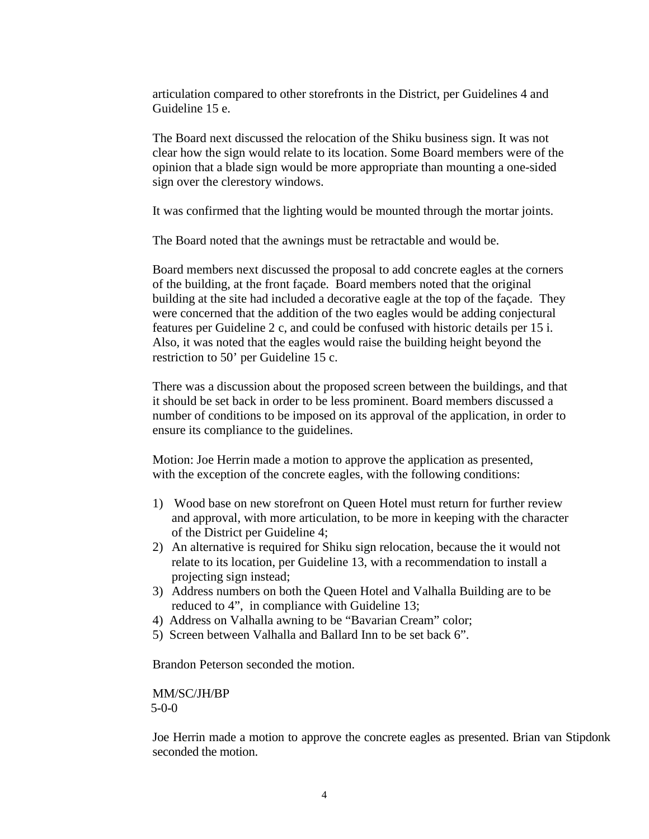articulation compared to other storefronts in the District, per Guidelines 4 and Guideline 15 e.

The Board next discussed the relocation of the Shiku business sign. It was not clear how the sign would relate to its location. Some Board members were of the opinion that a blade sign would be more appropriate than mounting a one-sided sign over the clerestory windows.

It was confirmed that the lighting would be mounted through the mortar joints.

The Board noted that the awnings must be retractable and would be.

Board members next discussed the proposal to add concrete eagles at the corners of the building, at the front façade. Board members noted that the original building at the site had included a decorative eagle at the top of the façade. They were concerned that the addition of the two eagles would be adding conjectural features per Guideline 2 c, and could be confused with historic details per 15 i. Also, it was noted that the eagles would raise the building height beyond the restriction to 50' per Guideline 15 c.

There was a discussion about the proposed screen between the buildings, and that it should be set back in order to be less prominent. Board members discussed a number of conditions to be imposed on its approval of the application, in order to ensure its compliance to the guidelines.

Motion: Joe Herrin made a motion to approve the application as presented, with the exception of the concrete eagles, with the following conditions:

- 1) Wood base on new storefront on Queen Hotel must return for further review and approval, with more articulation, to be more in keeping with the character of the District per Guideline 4;
- 2) An alternative is required for Shiku sign relocation, because the it would not relate to its location, per Guideline 13, with a recommendation to install a projecting sign instead;
- 3) Address numbers on both the Queen Hotel and Valhalla Building are to be reduced to 4", in compliance with Guideline 13;
- 4) Address on Valhalla awning to be "Bavarian Cream" color;
- 5) Screen between Valhalla and Ballard Inn to be set back 6".

Brandon Peterson seconded the motion.

MM/SC/JH/BP  $5-0-0$ 

Joe Herrin made a motion to approve the concrete eagles as presented. Brian van Stipdonk seconded the motion.